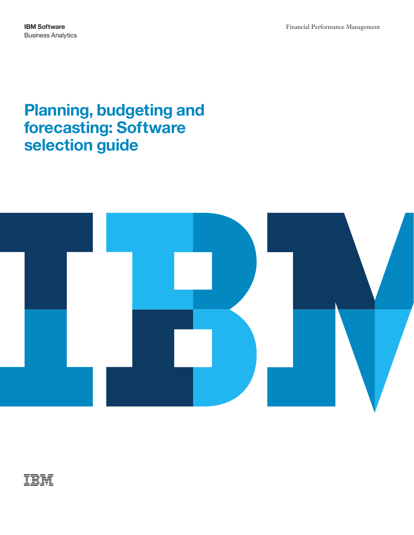# **Planning, budgeting and forecasting: Software selection guide**



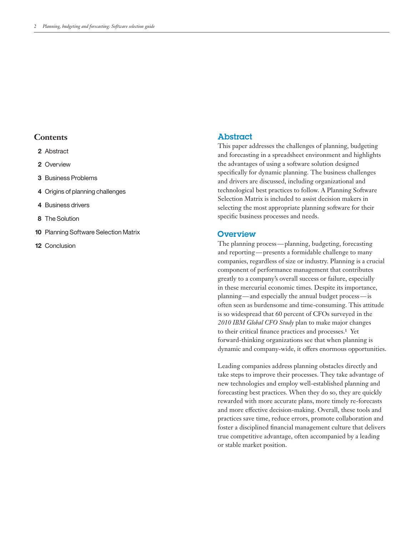#### **Contents**

- **2** Abstract
- **2** Overview
- **3** Business Problems
- **4** Origins of planning challenges
- **4** Business drivers
- **8** The Solution
- **10 Planning Software Selection Matrix**
- **12** Conclusion

#### Abstract

This paper addresses the challenges of planning, budgeting and forecasting in a spreadsheet environment and highlights the advantages of using a software solution designed specifically for dynamic planning. The business challenges and drivers are discussed, including organizational and technological best practices to follow. A Planning Software Selection Matrix is included to assist decision makers in selecting the most appropriate planning software for their specific business processes and needs.

#### **Overview**

 The planning process — planning, budgeting, forecasting and reporting — presents a formidable challenge to many planning — and especially the annual budget process — is companies, regardless of size or industry. Planning is a crucial component of performance management that contributes greatly to a company's overall success or failure, especially in these mercurial economic times. Despite its importance, often seen as burdensome and time-consuming. This attitude is so widespread that 60 percent of CFOs surveyed in the *2010 IBM Global CFO Study* plan to make major changes to their critical finance practices and processes.<sup>1</sup> Yet forward-thinking organizations see that when planning is dynamic and company-wide, it offers enormous opportunities.

Leading companies address planning obstacles directly and take steps to improve their processes. They take advantage of new technologies and employ well-established planning and forecasting best practices. When they do so, they are quickly rewarded with more accurate plans, more timely re-forecasts and more effective decision-making. Overall, these tools and practices save time, reduce errors, promote collaboration and foster a disciplined financial management culture that delivers true competitive advantage, often accompanied by a leading or stable market position.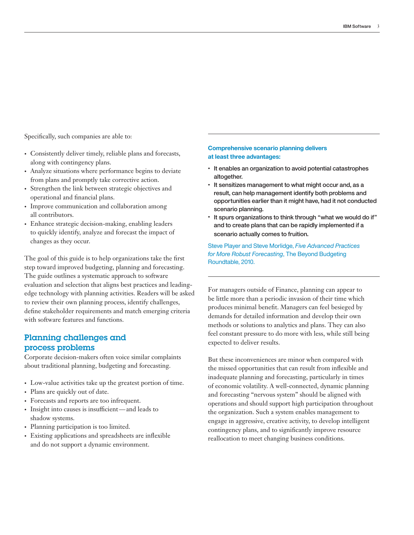Specifically, such companies are able to:

- • Consistently deliver timely, reliable plans and forecasts, along with contingency plans.
- Analyze situations where performance begins to deviate from plans and promptly take corrective action.
- Strengthen the link between strategic objectives and operational and financial plans.
- Improve communication and collaboration among all contributors.
- • Enhance strategic decision-making, enabling leaders to quickly identify, analyze and forecast the impact of changes as they occur.

The goal of this guide is to help organizations take the first step toward improved budgeting, planning and forecasting. The guide outlines a systematic approach to software evaluation and selection that aligns best practices and leadingedge technology with planning activities. Readers will be asked to review their own planning process, identify challenges, define stakeholder requirements and match emerging criteria with software features and functions.

# Planning challenges and process problems

Corporate decision-makers often voice similar complaints about traditional planning, budgeting and forecasting.

- • Low-value activities take up the greatest portion of time.
- Plans are quickly out of date.
- • Forecasts and reports are too infrequent.
- Insight into causes is insufficient—and leads to shadow systems.
- Planning participation is too limited.
- • Existing applications and spreadsheets are inflexible and do not support a dynamic environment.

#### **Comprehensive scenario planning delivers at least three advantages:**

- It enables an organization to avoid potential catastrophes altogether.
- It sensitizes management to what might occur and, as a result, can help management identify both problems and opportunities earlier than it might have, had it not conducted scenario planning.
- It spurs organizations to think through "what we would do if" and to create plans that can be rapidly implemented if a scenario actually comes to fruition.

Steve Player and Steve Morlidge, *Five Advanced Practices for More Robust Forecasting*, The Beyond Budgeting Roundtable, 2010.

For managers outside of Finance, planning can appear to be little more than a periodic invasion of their time which produces minimal benefit. Managers can feel besieged by demands for detailed information and develop their own methods or solutions to analytics and plans. They can also feel constant pressure to do more with less, while still being expected to deliver results.

But these inconveniences are minor when compared with the missed opportunities that can result from inflexible and inadequate planning and forecasting, particularly in times of economic volatility. A well-connected, dynamic planning and forecasting "nervous system" should be aligned with operations and should support high participation throughout the organization. Such a system enables management to engage in aggressive, creative activity, to develop intelligent contingency plans, and to significantly improve resource reallocation to meet changing business conditions.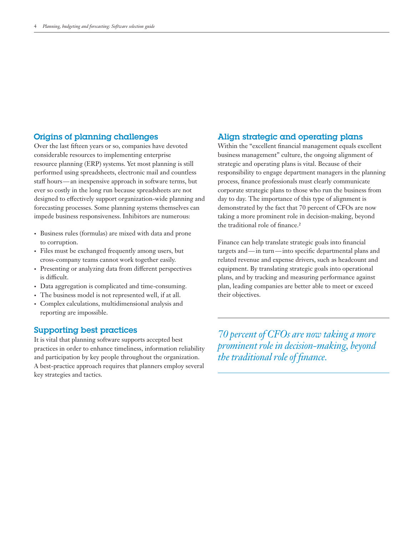#### Origins of planning challenges

 staff hours — an inexpensive approach in software terms, but Over the last fifteen years or so, companies have devoted considerable resources to implementing enterprise resource planning (ERP) systems. Yet most planning is still performed using spreadsheets, electronic mail and countless ever so costly in the long run because spreadsheets are not designed to effectively support organization-wide planning and forecasting processes. Some planning systems themselves can impede business responsiveness. Inhibitors are numerous:

- • Business rules (formulas) are mixed with data and prone to corruption.
- Files must be exchanged frequently among users, but cross-company teams cannot work together easily.
- Presenting or analyzing data from different perspectives is difficult.
- • Data aggregation is complicated and time-consuming.
- • The business model is not represented well, if at all.
- • Complex calculations, multidimensional analysis and reporting are impossible.

#### Supporting best practices

It is vital that planning software supports accepted best practices in order to enhance timeliness, information reliability and participation by key people throughout the organization. A best-practice approach requires that planners employ several key strategies and tactics.

#### Align strategic and operating plans

Within the "excellent financial management equals excellent business management" culture, the ongoing alignment of strategic and operating plans is vital. Because of their responsibility to engage department managers in the planning process, finance professionals must clearly communicate corporate strategic plans to those who run the business from day to day. The importance of this type of alignment is demonstrated by the fact that 70 percent of CFOs are now taking a more prominent role in decision-making, beyond the traditional role of finance.²

 targets and — in turn — into specific departmental plans and Finance can help translate strategic goals into financial related revenue and expense drivers, such as headcount and equipment. By translating strategic goals into operational plans, and by tracking and measuring performance against plan, leading companies are better able to meet or exceed their objectives.

*70 percent of CFOs are now taking a more prominent role in decision-making, beyond the traditional role of finance.*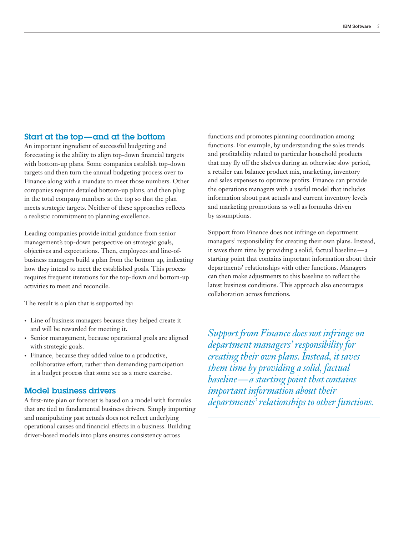#### Start at the top—and at the bottom

An important ingredient of successful budgeting and forecasting is the ability to align top-down financial targets with bottom-up plans. Some companies establish top-down targets and then turn the annual budgeting process over to Finance along with a mandate to meet those numbers. Other companies require detailed bottom-up plans, and then plug in the total company numbers at the top so that the plan meets strategic targets. Neither of these approaches reflects a realistic commitment to planning excellence.

Leading companies provide initial guidance from senior management's top-down perspective on strategic goals, objectives and expectations. Then, employees and line-ofbusiness managers build a plan from the bottom up, indicating how they intend to meet the established goals. This process requires frequent iterations for the top-down and bottom-up activities to meet and reconcile.

The result is a plan that is supported by:

- Line of business managers because they helped create it and will be rewarded for meeting it.
- • Senior management, because operational goals are aligned with strategic goals.
- • Finance, because they added value to a productive, collaborative effort, rather than demanding participation in a budget process that some see as a mere exercise.

#### Model business drivers

A first-rate plan or forecast is based on a model with formulas that are tied to fundamental business drivers. Simply importing and manipulating past actuals does not reflect underlying operational causes and financial effects in a business. Building driver-based models into plans ensures consistency across

functions and promotes planning coordination among functions. For example, by understanding the sales trends and profitability related to particular household products that may fly off the shelves during an otherwise slow period, a retailer can balance product mix, marketing, inventory and sales expenses to optimize profits. Finance can provide the operations managers with a useful model that includes information about past actuals and current inventory levels and marketing promotions as well as formulas driven by assumptions.

 it saves them time by providing a solid, factual baseline — a Support from Finance does not infringe on department managers' responsibility for creating their own plans. Instead, starting point that contains important information about their departments' relationships with other functions. Managers can then make adjustments to this baseline to reflect the latest business conditions. This approach also encourages collaboration across functions.

 *baseline—a starting point that contains Support from Finance does not infringe on department managers' responsibility for creating their own plans. Instead, it saves them time by providing a solid, factual important information about their departments' relationships to other functions.*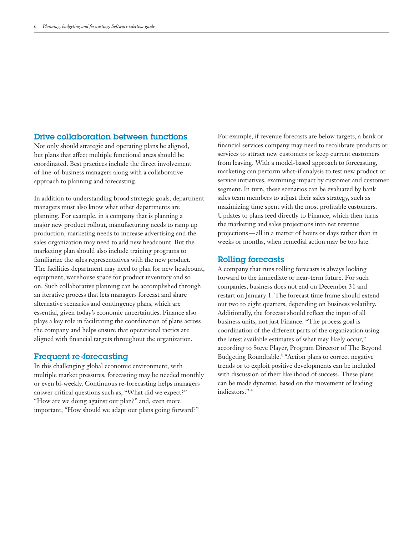#### Drive collaboration between functions

Not only should strategic and operating plans be aligned, but plans that affect multiple functional areas should be coordinated. Best practices include the direct involvement of line-of-business managers along with a collaborative approach to planning and forecasting.

In addition to understanding broad strategic goals, department managers must also know what other departments are planning. For example, in a company that is planning a major new product rollout, manufacturing needs to ramp up production, marketing needs to increase advertising and the sales organization may need to add new headcount. But the marketing plan should also include training programs to familiarize the sales representatives with the new product. The facilities department may need to plan for new headcount, equipment, warehouse space for product inventory and so on. Such collaborative planning can be accomplished through an iterative process that lets managers forecast and share alternative scenarios and contingency plans, which are essential, given today's economic uncertainties. Finance also plays a key role in facilitating the coordination of plans across the company and helps ensure that operational tactics are aligned with financial targets throughout the organization.

#### Frequent re -forecasting

In this challenging global economic environment, with multiple market pressures, forecasting may be needed monthly or even bi-weekly. Continuous re-forecasting helps managers answer critical questions such as, "What did we expect?" "How are we doing against our plan?" and, even more important, "How should we adapt our plans going forward?"

 projections — all in a matter of hours or days rather than in For example, if revenue forecasts are below targets, a bank or financial services company may need to recalibrate products or services to attract new customers or keep current customers from leaving. With a model-based approach to forecasting, marketing can perform what-if analysis to test new product or service initiatives, examining impact by customer and customer segment. In turn, these scenarios can be evaluated by bank sales team members to adjust their sales strategy, such as maximizing time spent with the most profitable customers. Updates to plans feed directly to Finance, which then turns the marketing and sales projections into net revenue weeks or months, when remedial action may be too late.

#### Rolling forecasts

A company that runs rolling forecasts is always looking forward to the immediate or near-term future. For such companies, business does not end on December 31 and restart on January 1. The forecast time frame should extend out two to eight quarters, depending on business volatility. Additionally, the forecast should reflect the input of all business units, not just Finance. "The process goal is coordination of the different parts of the organization using the latest available estimates of what may likely occur," according to Steve Player, Program Director of The Beyond Budgeting Roundtable.<sup>3</sup> "Action plans to correct negative trends or to exploit positive developments can be included with discussion of their likelihood of success. These plans can be made dynamic, based on the movement of leading indicators." 4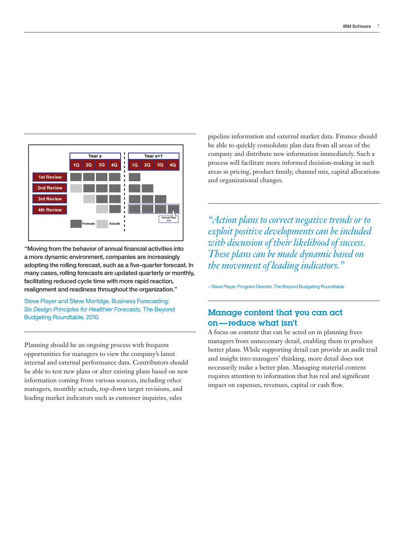

"Moving from the behavior of annual financial activities into a more dynamic environment, companies are increasingly adopting the rolling forecast, such as a five-quarter forecast. In many cases, rolling forecasts are updated quarterly or monthly, facilitating reduced cycle time with more rapid reaction, realignment and readiness throughout the organization."

Steve Player and Steve Morlidge, Business Forecasting: *Six Design Principles for Healthier Forecasts*, The Beyond Budgeting Roundtable, 2010.

Planning should be an ongoing process with frequent opportunities for managers to view the company's latest internal and external performance data. Contributors should be able to test new plans or alter existing plans based on new information coming from various sources, including other managers, monthly actuals, top-down target revisions, and leading market indicators such as customer inquiries, sales

pipeline information and external market data. Finance should be able to quickly consolidate plan data from all areas of the company and distribute new information immediately. Such a process will facilitate more informed decision-making in such areas as pricing, product family, channel mix, capital allocations and organizational changes.

*"Action plans to correct negative trends or to exploit positive developments can be included with discussion of their likelihood of success. These plans can be made dynamic based on the movement of leading indicators."* 

– Steve Player, Program Director, The Beyond Budgeting Roundtable

# on —reduce what isn't Manage content that you can act

A focus on content that can be acted on in planning frees managers from unnecessary detail, enabling them to produce better plans. While supporting detail can provide an audit trail and insight into managers' thinking, more detail does not necessarily make a better plan. Managing material content requires attention to information that has real and significant impact on expenses, revenues, capital or cash flow.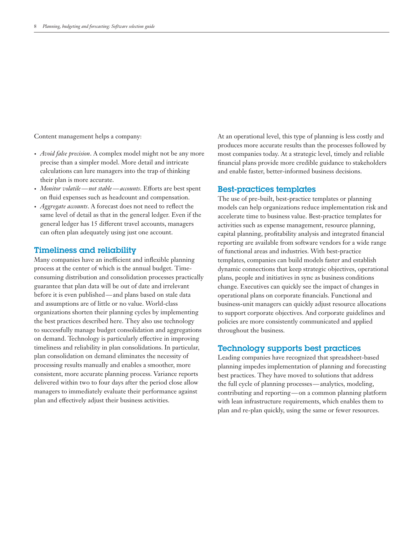Content management helps a company:

- *• Avoid false precision*. A complex model might not be any more precise than a simpler model. More detail and intricate calculations can lure managers into the trap of thinking their plan is more accurate.
- *Monitor volatile* not stable accounts. Efforts are best spent on fluid expenses such as headcount and compensation.
- *• Aggregate accounts*. A forecast does not need to reflect the same level of detail as that in the general ledger. Even if the general ledger has 15 different travel accounts, managers can often plan adequately using just one account.

#### Timeliness and reliability

 before it is even published — and plans based on stale data Many companies have an inefficient and inflexible planning process at the center of which is the annual budget. Timeconsuming distribution and consolidation processes practically guarantee that plan data will be out of date and irrelevant and assumptions are of little or no value. World-class organizations shorten their planning cycles by implementing the best practices described here. They also use technology to successfully manage budget consolidation and aggregations on demand. Technology is particularly effective in improving timeliness and reliability in plan consolidations. In particular, plan consolidation on demand eliminates the necessity of processing results manually and enables a smoother, more consistent, more accurate planning process. Variance reports delivered within two to four days after the period close allow managers to immediately evaluate their performance against plan and effectively adjust their business activities.

At an operational level, this type of planning is less costly and produces more accurate results than the processes followed by most companies today. At a strategic level, timely and reliable financial plans provide more credible guidance to stakeholders and enable faster, better-informed business decisions.

#### Best-practices templates

The use of pre-built, best-practice templates or planning models can help organizations reduce implementation risk and accelerate time to business value. Best-practice templates for activities such as expense management, resource planning, capital planning, profitability analysis and integrated financial reporting are available from software vendors for a wide range of functional areas and industries. With best-practice templates, companies can build models faster and establish dynamic connections that keep strategic objectives, operational plans, people and initiatives in sync as business conditions change. Executives can quickly see the impact of changes in operational plans on corporate financials. Functional and business-unit managers can quickly adjust resource allocations to support corporate objectives. And corporate guidelines and policies are more consistently communicated and applied throughout the business.

#### Technology supports best practices

 the full cycle of planning processes —analytics, modeling, contributing and reporting — on a common planning platform Leading companies have recognized that spreadsheet-based planning impedes implementation of planning and forecasting best practices. They have moved to solutions that address with lean infrastructure requirements, which enables them to plan and re-plan quickly, using the same or fewer resources.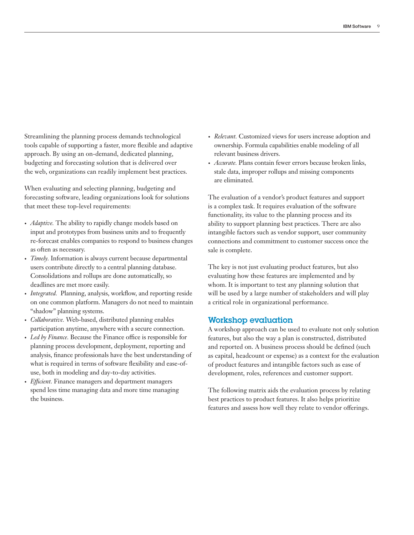Streamlining the planning process demands technological tools capable of supporting a faster, more flexible and adaptive approach. By using an on-demand, dedicated planning, budgeting and forecasting solution that is delivered over the web, organizations can readily implement best practices.

When evaluating and selecting planning, budgeting and forecasting software, leading organizations look for solutions that meet these top-level requirements:

- *Adaptive*. The ability to rapidly change models based on input and prototypes from business units and to frequently re-forecast enables companies to respond to business changes as often as necessary.
- *• Timely.* Information is always current because departmental users contribute directly to a central planning database. Consolidations and rollups are done automatically, so deadlines are met more easily.
- *• Integrated.* Planning, analysis, workflow, and reporting reside on one common platform. Managers do not need to maintain "shadow" planning systems.
- *• Collaborative.* Web-based, distributed planning enables participation anytime, anywhere with a secure connection.
- *• Led by Finance.* Because the Finance office is responsible for planning process development, deployment, reporting and analysis, finance professionals have the best understanding of what is required in terms of software flexibility and ease-ofuse, both in modeling and day-to-day activities.
- *• Efficient.* Finance managers and department managers spend less time managing data and more time managing the business.
- *• Relevant.* Customized views for users increase adoption and ownership. Formula capabilities enable modeling of all relevant business drivers.
- *• Accurate.* Plans contain fewer errors because broken links, stale data, improper rollups and missing components are eliminated.

The evaluation of a vendor's product features and support is a complex task. It requires evaluation of the software functionality, its value to the planning process and its ability to support planning best practices. There are also intangible factors such as vendor support, user community connections and commitment to customer success once the sale is complete.

The key is not just evaluating product features, but also evaluating how these features are implemented and by whom. It is important to test any planning solution that will be used by a large number of stakeholders and will play a critical role in organizational performance.

#### Workshop evaluation

A workshop approach can be used to evaluate not only solution features, but also the way a plan is constructed, distributed and reported on. A business process should be defined (such as capital, headcount or expense) as a context for the evaluation of product features and intangible factors such as ease of development, roles, references and customer support.

The following matrix aids the evaluation process by relating best practices to product features. It also helps prioritize features and assess how well they relate to vendor offerings.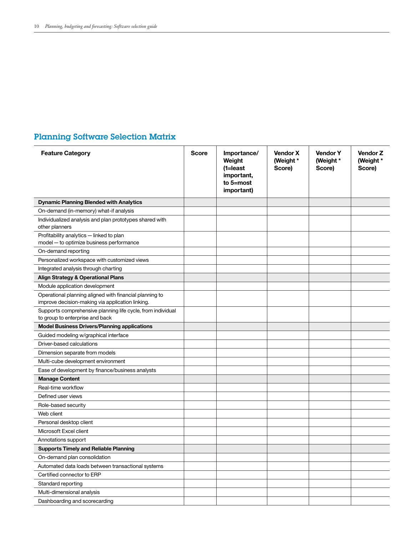# Planning Software Selection Matrix

| <b>Feature Category</b>                                                                                     | <b>Score</b> | Importance/<br>Weight<br>$(1=$ least<br>important,<br>to 5=most<br>important) | <b>Vendor X</b><br>(Weight *<br>Score) | <b>Vendor Y</b><br>(Weight *<br>Score) | <b>Vendor Z</b><br>(Weight *<br>Score) |
|-------------------------------------------------------------------------------------------------------------|--------------|-------------------------------------------------------------------------------|----------------------------------------|----------------------------------------|----------------------------------------|
| <b>Dynamic Planning Blended with Analytics</b>                                                              |              |                                                                               |                                        |                                        |                                        |
| On-demand (in-memory) what-if analysis                                                                      |              |                                                                               |                                        |                                        |                                        |
| Individualized analysis and plan prototypes shared with<br>other planners                                   |              |                                                                               |                                        |                                        |                                        |
| Profitability analytics - linked to plan<br>model - to optimize business performance                        |              |                                                                               |                                        |                                        |                                        |
| On-demand reporting                                                                                         |              |                                                                               |                                        |                                        |                                        |
| Personalized workspace with customized views                                                                |              |                                                                               |                                        |                                        |                                        |
| Integrated analysis through charting                                                                        |              |                                                                               |                                        |                                        |                                        |
| <b>Align Strategy &amp; Operational Plans</b>                                                               |              |                                                                               |                                        |                                        |                                        |
| Module application development                                                                              |              |                                                                               |                                        |                                        |                                        |
| Operational planning aligned with financial planning to<br>improve decision-making via application linking. |              |                                                                               |                                        |                                        |                                        |
| Supports comprehensive planning life cycle, from individual<br>to group to enterprise and back              |              |                                                                               |                                        |                                        |                                        |
| <b>Model Business Drivers/Planning applications</b>                                                         |              |                                                                               |                                        |                                        |                                        |
| Guided modeling w/graphical interface                                                                       |              |                                                                               |                                        |                                        |                                        |
| Driver-based calculations                                                                                   |              |                                                                               |                                        |                                        |                                        |
| Dimension separate from models                                                                              |              |                                                                               |                                        |                                        |                                        |
| Multi-cube development environment                                                                          |              |                                                                               |                                        |                                        |                                        |
| Ease of development by finance/business analysts                                                            |              |                                                                               |                                        |                                        |                                        |
| <b>Manage Content</b>                                                                                       |              |                                                                               |                                        |                                        |                                        |
| Real-time workflow                                                                                          |              |                                                                               |                                        |                                        |                                        |
| Defined user views                                                                                          |              |                                                                               |                                        |                                        |                                        |
| Role-based security                                                                                         |              |                                                                               |                                        |                                        |                                        |
| Web client                                                                                                  |              |                                                                               |                                        |                                        |                                        |
| Personal desktop client                                                                                     |              |                                                                               |                                        |                                        |                                        |
| Microsoft Excel client                                                                                      |              |                                                                               |                                        |                                        |                                        |
| Annotations support                                                                                         |              |                                                                               |                                        |                                        |                                        |
| <b>Supports Timely and Reliable Planning</b>                                                                |              |                                                                               |                                        |                                        |                                        |
| On-demand plan consolidation                                                                                |              |                                                                               |                                        |                                        |                                        |
| Automated data loads between transactional systems                                                          |              |                                                                               |                                        |                                        |                                        |
| Certified connector to ERP                                                                                  |              |                                                                               |                                        |                                        |                                        |
| Standard reporting                                                                                          |              |                                                                               |                                        |                                        |                                        |
| Multi-dimensional analysis                                                                                  |              |                                                                               |                                        |                                        |                                        |
| Dashboarding and scorecarding                                                                               |              |                                                                               |                                        |                                        |                                        |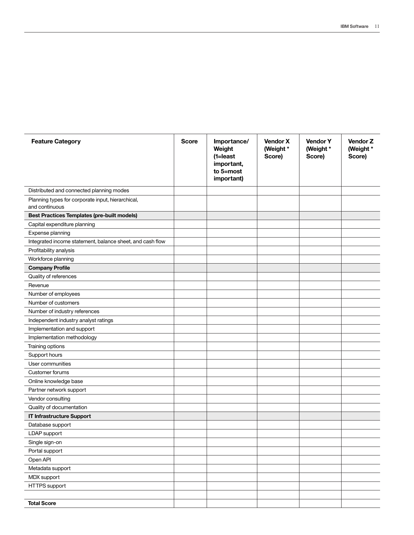| <b>Feature Category</b>                                             | <b>Score</b> | Importance/<br>Weight<br>$(1=least$<br>important,<br>to 5=most<br>important) | <b>Vendor X</b><br>(Weight *<br>Score) | <b>Vendor Y</b><br>(Weight *<br>Score) | <b>Vendor Z</b><br>(Weight *<br>Score) |
|---------------------------------------------------------------------|--------------|------------------------------------------------------------------------------|----------------------------------------|----------------------------------------|----------------------------------------|
| Distributed and connected planning modes                            |              |                                                                              |                                        |                                        |                                        |
| Planning types for corporate input, hierarchical,<br>and continuous |              |                                                                              |                                        |                                        |                                        |
| <b>Best Practices Templates (pre-built models)</b>                  |              |                                                                              |                                        |                                        |                                        |
| Capital expenditure planning                                        |              |                                                                              |                                        |                                        |                                        |
| Expense planning                                                    |              |                                                                              |                                        |                                        |                                        |
| Integrated income statement, balance sheet, and cash flow           |              |                                                                              |                                        |                                        |                                        |
| Profitability analysis                                              |              |                                                                              |                                        |                                        |                                        |
| Workforce planning                                                  |              |                                                                              |                                        |                                        |                                        |
| <b>Company Profile</b>                                              |              |                                                                              |                                        |                                        |                                        |
| Quality of references                                               |              |                                                                              |                                        |                                        |                                        |
| Revenue                                                             |              |                                                                              |                                        |                                        |                                        |
| Number of employees                                                 |              |                                                                              |                                        |                                        |                                        |
| Number of customers                                                 |              |                                                                              |                                        |                                        |                                        |
| Number of industry references                                       |              |                                                                              |                                        |                                        |                                        |
| Independent industry analyst ratings                                |              |                                                                              |                                        |                                        |                                        |
| Implementation and support                                          |              |                                                                              |                                        |                                        |                                        |
| Implementation methodology                                          |              |                                                                              |                                        |                                        |                                        |
| Training options                                                    |              |                                                                              |                                        |                                        |                                        |
| Support hours                                                       |              |                                                                              |                                        |                                        |                                        |
| User communities                                                    |              |                                                                              |                                        |                                        |                                        |
| Customer forums                                                     |              |                                                                              |                                        |                                        |                                        |
| Online knowledge base                                               |              |                                                                              |                                        |                                        |                                        |
| Partner network support                                             |              |                                                                              |                                        |                                        |                                        |
| Vendor consulting                                                   |              |                                                                              |                                        |                                        |                                        |
| Quality of documentation                                            |              |                                                                              |                                        |                                        |                                        |
| IT Infrastructure Support                                           |              |                                                                              |                                        |                                        |                                        |
| Database support                                                    |              |                                                                              |                                        |                                        |                                        |
| LDAP support                                                        |              |                                                                              |                                        |                                        |                                        |
| Single sign-on                                                      |              |                                                                              |                                        |                                        |                                        |
| Portal support                                                      |              |                                                                              |                                        |                                        |                                        |
| Open API                                                            |              |                                                                              |                                        |                                        |                                        |
| Metadata support                                                    |              |                                                                              |                                        |                                        |                                        |
| MDX support                                                         |              |                                                                              |                                        |                                        |                                        |
| HTTPS support                                                       |              |                                                                              |                                        |                                        |                                        |
|                                                                     |              |                                                                              |                                        |                                        |                                        |
| <b>Total Score</b>                                                  |              |                                                                              |                                        |                                        |                                        |